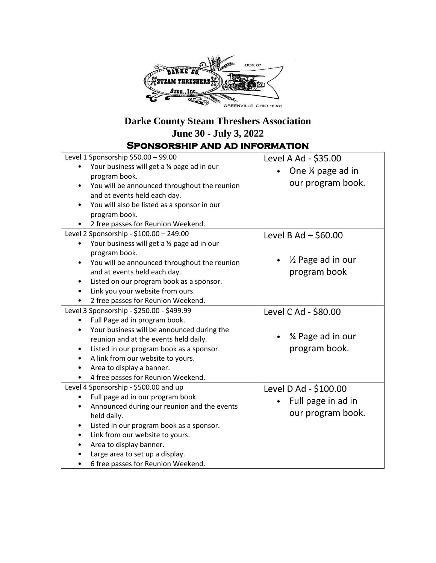

## **Darke County Steam Threshers Association June 30 - July 3, 2022**

**Sponsorship and ad information**

| Level 1 Sponsorship \$50.00 - 99.00<br>Your business will get a 1/4 page ad in our<br>program book.<br>You will be announced throughout the reunion<br>and at events held each day.<br>You will also be listed as a sponsor in our<br>program book.<br>2 free passes for Reunion Weekend.                                                            | Level A Ad - \$35.00<br>One ¼ page ad in<br>our program book.            |
|------------------------------------------------------------------------------------------------------------------------------------------------------------------------------------------------------------------------------------------------------------------------------------------------------------------------------------------------------|--------------------------------------------------------------------------|
| Level 2 Sponsorship - \$100.00 - 249.00<br>Your business will get a 1/2 page ad in our<br>$\bullet$<br>program book.<br>You will be announced throughout the reunion<br>$\bullet$<br>and at events held each day.<br>Listed on our program book as a sponsor.<br>$\bullet$<br>Link you your website from ours.<br>2 free passes for Reunion Weekend. | Level B Ad $-$ \$60.00<br>1/ <sub>2</sub> Page ad in our<br>program book |
| Level 3 Sponsorship - \$250.00 - \$499.99<br>Full Page ad in program book.<br>$\bullet$<br>Your business will be announced during the<br>$\bullet$<br>reunion and at the events held daily.<br>Listed in our program book as a sponsor.<br>A link from our website to yours.<br>Area to display a banner.<br>4 free passes for Reunion Weekend.      | Level C Ad - \$80.00<br>% Page ad in our<br>program book.                |
| Level 4 Sponsorship - \$500.00 and up<br>Full page ad in our program book.<br>$\bullet$<br>Announced during our reunion and the events<br>held daily.<br>Listed in our program book as a sponsor.<br>Link from our website to yours.<br>Area to display banner.<br>Large area to set up a display.<br>6 free passes for Reunion Weekend.             | Level D Ad - \$100.00<br>Full page in ad in<br>our program book.         |